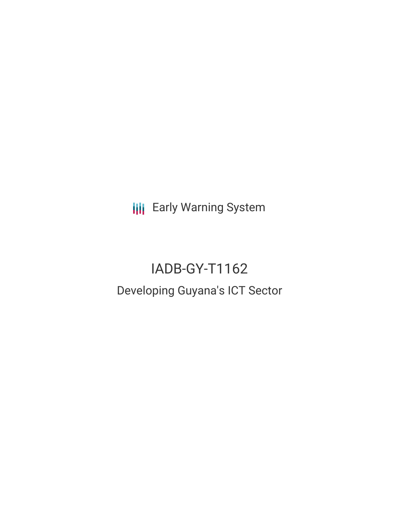**III** Early Warning System

# IADB-GY-T1162 Developing Guyana's ICT Sector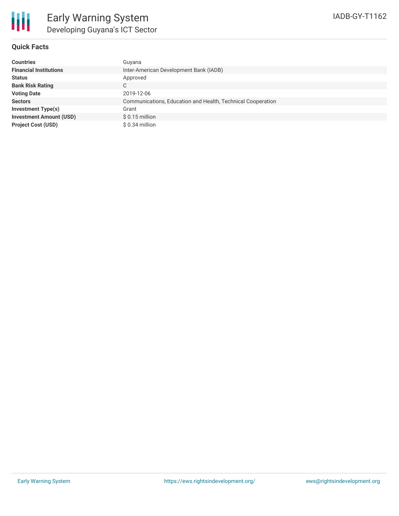## **Quick Facts**

| <b>Countries</b>               | Guyana                                                      |
|--------------------------------|-------------------------------------------------------------|
| <b>Financial Institutions</b>  | Inter-American Development Bank (IADB)                      |
| <b>Status</b>                  | Approved                                                    |
| <b>Bank Risk Rating</b>        | С                                                           |
| <b>Voting Date</b>             | 2019-12-06                                                  |
| <b>Sectors</b>                 | Communications, Education and Health, Technical Cooperation |
| <b>Investment Type(s)</b>      | Grant                                                       |
| <b>Investment Amount (USD)</b> | $$0.15$ million                                             |
| <b>Project Cost (USD)</b>      | $$0.34$ million                                             |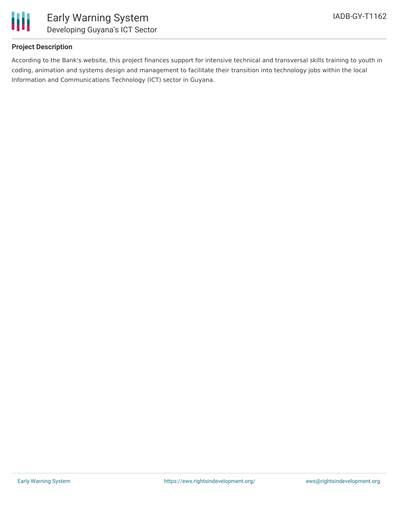

## **Project Description**

According to the Bank's website, this project finances support for intensive technical and transversal skills training to youth in coding, animation and systems design and management to facilitate their transition into technology jobs within the local Information and Communications Technology (ICT) sector in Guyana.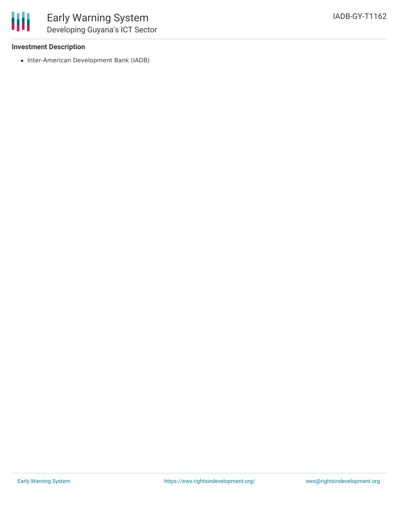### **Investment Description**

• Inter-American Development Bank (IADB)